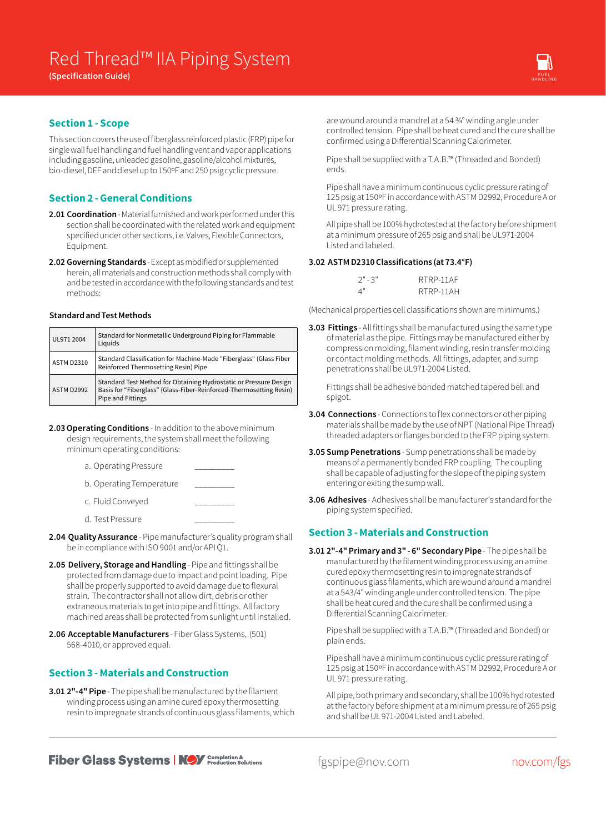

# **Section 1 - Scope**

This section covers the use of fiberglass reinforced plastic (FRP) pipe for single wall fuel handling and fuel handling vent and vapor applications including gasoline, unleaded gasoline, gasoline/alcohol mixtures, bio-diesel, DEF and diesel up to 150ºF and 250 psig cyclic pressure.

# **Section 2 - General Conditions**

- **2.01 Coordination** Material furnished and work performed under this section shall be coordinated with the related work and equipment specified under other sections, i.e. Valves, Flexible Connectors, Equipment.
- **2.02 Governing Standards** Except as modified or supplemented herein, all materials and construction methods shall comply with and be tested in accordance with the following standards and test methods:

#### **Standard and Test Methods**

| UL971 2004        | Standard for Nonmetallic Underground Piping for Flammable<br>Liquids                                                                                          |
|-------------------|---------------------------------------------------------------------------------------------------------------------------------------------------------------|
| <b>ASTM D2310</b> | Standard Classification for Machine-Made "Fiberglass" (Glass Fiber<br>Reinforced Thermosetting Resin) Pipe                                                    |
| <b>ASTM D2992</b> | Standard Test Method for Obtaining Hydrostatic or Pressure Design<br>Basis for "Fiberglass" (Glass-Fiber-Reinforced-Thermosetting Resin)<br>Pipe and Fittings |

- **2.03 Operating Conditions** In addition to the above minimum design requirements, the system shall meet the following minimum operating conditions:
	- a. Operating Pressure
	- b. Operating Temperature
	- c. Fluid Conveyed
	- d. Test Pressure
- **2.04 Quality Assurance** Pipe manufacturer's quality program shall be in compliance with ISO 9001 and/or API Q1.
- **2.05 Delivery, Storage and Handling** Pipe and fittings shall be protected from damage due to impact and point loading. Pipe shall be properly supported to avoid damage due to flexural strain. The contractor shall not allow dirt, debris or other extraneous materials to get into pipe and fittings. All factory machined areas shall be protected from sunlight until installed.
- **2.06 Acceptable Manufacturers** Fiber Glass Systems, (501) 568-4010, or approved equal.

# **Section 3 - Materials and Construction**

**3.01 2"-4" Pipe** - The pipe shall be manufactured by the filament winding process using an amine cured epoxy thermosetting resin to impregnate strands of continuous glass filaments, which are wound around a mandrel at a 54 3/4° winding angle under controlled tension. Pipe shall be heat cured and the cure shall be confirmed using a Differential Scanning Calorimeter.

Pipe shall be supplied with a T.A.B.™ (Threaded and Bonded) ends.

Pipe shall have a minimum continuous cyclic pressure rating of 125 psig at 150ºF in accordance with ASTM D2992, Procedure A or UL 971 pressure rating.

All pipe shall be 100% hydrotested at the factory before shipment at a minimum pressure of 265 psig and shall be UL971-2004 Listed and labeled.

### **3.02 ASTM D2310 Classifications (at 73.4°F)**

| $2" - 3"$ | RTRP-11AF |
|-----------|-----------|
| 4"        | RTRP-11AH |

(Mechanical properties cell classifications shown are minimums.)

**3.03 Fittings** - All fittings shall be manufactured using the same type of material as the pipe. Fittings may be manufactured either by compression molding, filament winding, resin transfer molding or contact molding methods. All fittings, adapter, and sump penetrations shall be UL971-2004 Listed.

Fittings shall be adhesive bonded matched tapered bell and spigot.

- **3.04 Connections** Connections to flex connectors or other piping materials shall be made by the use of NPT (National Pipe Thread) threaded adapters or flanges bonded to the FRP piping system.
- **3.05 Sump Penetrations**  Sump penetrations shall be made by means of a permanently bonded FRP coupling. The coupling shall be capable of adjusting for the slope of the piping system entering or exiting the sump wall.
- **3.06 Adhesives** Adhesives shall be manufacturer's standard for the piping system specified.

# **Section 3 - Materials and Construction**

**3.01 2"-4" Primary and 3" - 6" Secondary Pipe** - The pipe shall be manufactured by the filament winding process using an amine cured epoxy thermosetting resin to impregnate strands of continuous glass filaments, which are wound around a mandrel at a 543/4" winding angle under controlled tension. The pipe shall be heat cured and the cure shall be confirmed using a Differential Scanning Calorimeter.

Pipe shall be supplied with a T.A.B.™ (Threaded and Bonded) or plain ends.

Pipe shall have a minimum continuous cyclic pressure rating of 125 psig at 150ºF in accordance with ASTM D2992, Procedure A or UL 971 pressure rating.

All pipe, both primary and secondary, shall be 100% hydrotested at the factory before shipment at a minimum pressure of 265 psig and shall be UL 971-2004 Listed and Labeled.

**Fiber Glass Systems | NOV** Completion &

fgspipe@nov.com nov.com/fgs